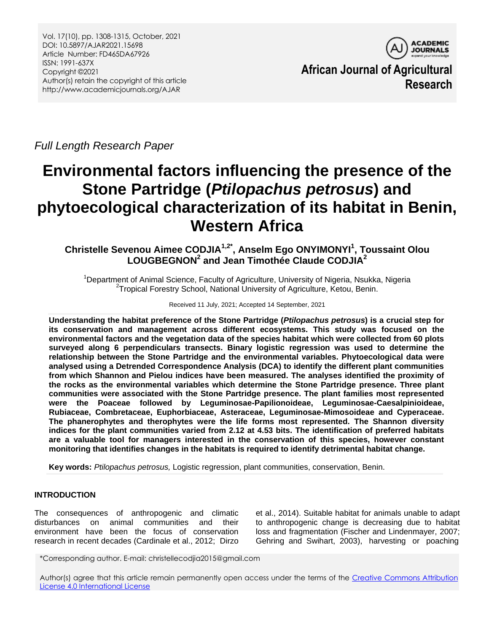

**African Journal of Agricultural Research**

*Full Length Research Paper*

# **Environmental factors influencing the presence of the Stone Partridge (***Ptilopachus petrosus***) and phytoecological characterization of its habitat in Benin, Western Africa**

## **Christelle Sevenou Aimee CODJIA1,2\* , Anselm Ego ONYIMONYI<sup>1</sup> , Toussaint Olou LOUGBEGNON<sup>2</sup> and Jean Timothée Claude CODJIA<sup>2</sup>**

<sup>1</sup>Department of Animal Science, Faculty of Agriculture, University of Nigeria, Nsukka, Nigeria <sup>2</sup>Tropical Forestry School, National University of Agriculture, Ketou, Benin.

#### Received 11 July, 2021; Accepted 14 September, 2021

**Understanding the habitat preference of the Stone Partridge (***Ptilopachus petrosus***) is a crucial step for its conservation and management across different ecosystems. This study was focused on the environmental factors and the vegetation data of the species habitat which were collected from 60 plots surveyed along 6 perpendiculars transects. Binary logistic regression was used to determine the relationship between the Stone Partridge and the environmental variables. Phytoecological data were analysed using a Detrended Correspondence Analysis (DCA) to identify the different plant communities from which Shannon and Pielou indices have been measured. The analyses identified the proximity of the rocks as the environmental variables which determine the Stone Partridge presence. Three plant communities were associated with the Stone Partridge presence. The plant families most represented were the Poaceae followed by Leguminosae-Papilionoideae, Leguminosae-Caesalpinioideae, Rubiaceae, Combretaceae, Euphorbiaceae, Asteraceae, Leguminosae-Mimosoideae and Cyperaceae. The phanerophytes and therophytes were the life forms most represented. The Shannon diversity indices for the plant communities varied from 2.12 at 4.53 bits. The identification of preferred habitats are a valuable tool for managers interested in the conservation of this species, however constant monitoring that identifies changes in the habitats is required to identify detrimental habitat change.**

**Key words:** *Ptilopachus petrosus,* Logistic regression, plant communities, conservation, Benin.

## **INTRODUCTION**

The consequences of anthropogenic and climatic disturbances on animal communities and their environment have been the focus of conservation research in recent decades (Cardinale et al., 2012; Dirzo

et al., 2014). Suitable habitat for animals unable to adapt to anthropogenic change is decreasing due to habitat loss and fragmentation (Fischer and Lindenmayer, 2007; Gehring and Swihart, 2003), harvesting or poaching

\*Corresponding author. E-mail: christellecodjia2015@gmail.com

Author(s) agree that this article remain permanently open access under the terms of the Creative Commons Attribution [License 4.0 International License](http://creativecommons.org/licenses/by/4.0/deed.en_US)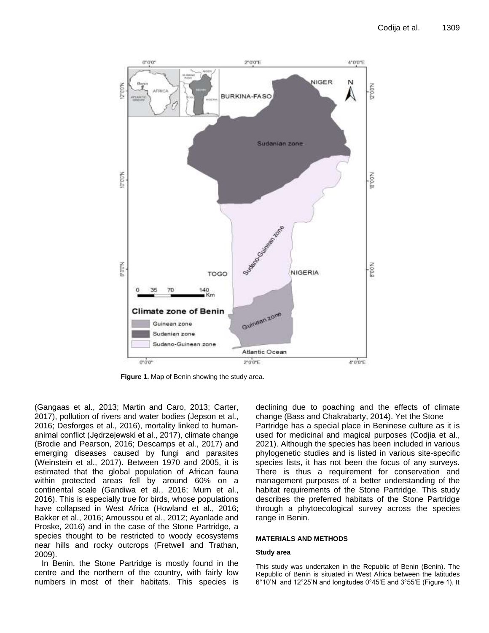

**Figure 1.** Map of Benin showing the study area.

(Gangaas et al., 2013; Martin and Caro, 2013; Carter, 2017), pollution of rivers and water bodies (Jepson et al., 2016; Desforges et al., 2016), mortality linked to humananimal conflict (Jędrzejewski et al., 2017), climate change (Brodie and Pearson, 2016; Descamps et al., 2017) and emerging diseases caused by fungi and parasites (Weinstein et al., 2017). Between 1970 and 2005, it is estimated that the global population of African fauna within protected areas fell by around 60% on a continental scale (Gandiwa et al., 2016; Murn et al., 2016). This is especially true for birds, whose populations have collapsed in West Africa (Howland et al., 2016; Bakker et al., 2016; Amoussou et al., 2012; Ayanlade and Proske, 2016) and in the case of the Stone Partridge, a species thought to be restricted to woody ecosystems near hills and rocky outcrops (Fretwell and Trathan, 2009).

In Benin, the Stone Partridge is mostly found in the centre and the northern of the country, with fairly low numbers in most of their habitats. This species is declining due to poaching and the effects of climate change (Bass and Chakrabarty, 2014). Yet the Stone Partridge has a special place in Beninese culture as it is used for medicinal and magical purposes (Codjia et al., 2021). Although the species has been included in various phylogenetic studies and is listed in various site-specific species lists, it has not been the focus of any surveys. There is thus a requirement for conservation and management purposes of a better understanding of the habitat requirements of the Stone Partridge. This study describes the preferred habitats of the Stone Partridge through a phytoecological survey across the species range in Benin.

#### **MATERIALS AND METHODS**

#### **Study area**

This study was undertaken in the Republic of Benin (Benin). The Republic of Benin is situated in West Africa between the latitudes 6°10'N and 12°25'N and longitudes 0°45'E and 3°55'E (Figure 1). It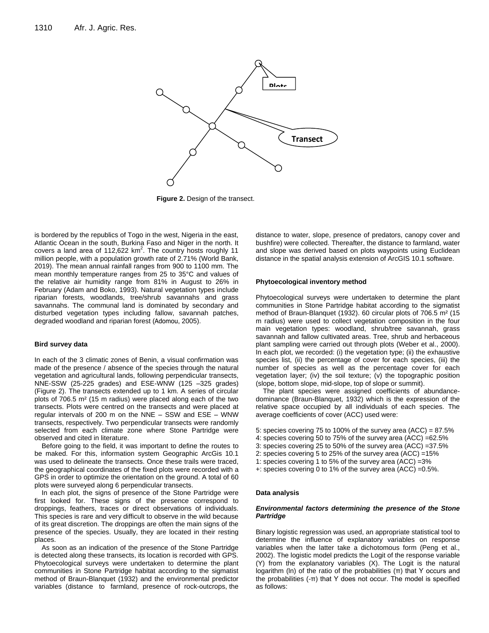

**Figure 2.** Design of the transect.

is bordered by the republics of Togo in the west, Nigeria in the east, Atlantic Ocean in the south, Burkina Faso and Niger in the north. It covers a land area of 112,622  $km^2$ . The country hosts roughly 11 million people, with a population growth rate of 2.71% (World Bank, 2019). The mean annual rainfall ranges from 900 to 1100 mm. The mean monthly temperature ranges from 25 to 35°C and values of the relative air humidity range from 81% in August to 26% in February (Adam and Boko, 1993). Natural vegetation types include riparian forests, woodlands, tree/shrub savannahs and grass savannahs. The communal land is dominated by secondary and disturbed vegetation types including fallow, savannah patches, degraded woodland and riparian forest (Adomou, 2005).

#### **Bird survey data**

In each of the 3 climatic zones of Benin, a visual confirmation was made of the presence / absence of the species through the natural vegetation and agricultural lands, following perpendicular transects, NNE-SSW (25-225 grades) and ESE-WNW (125 –325 grades) (Figure 2). The transects extended up to 1 km. A series of circular plots of 706.5 m² (15 m radius) were placed along each of the two transects. Plots were centred on the transects and were placed at regular intervals of 200 m on the NNE – SSW and ESE – WNW transects, respectively. Two perpendicular transects were randomly selected from each climate zone where Stone Partridge were observed and cited in literature.

Before going to the field, it was important to define the routes to be maked. For this, information system Geographic ArcGis 10.1 was used to delineate the transects. Once these trails were traced, the geographical coordinates of the fixed plots were recorded with a GPS in order to optimize the orientation on the ground. A total of 60 plots were surveyed along 6 perpendicular transects.

In each plot, the signs of presence of the Stone Partridge were first looked for. These signs of the presence correspond to droppings, feathers, traces or direct observations of individuals. This species is rare and very difficult to observe in the wild because of its great discretion. The droppings are often the main signs of the presence of the species. Usually, they are located in their resting places.

As soon as an indication of the presence of the Stone Partridge is detected along these transects, its location is recorded with GPS. Phytoecological surveys were undertaken to determine the plant communities in Stone Partridge habitat according to the sigmatist method of Braun-Blanquet (1932) and the environmental predictor variables (distance to farmland, presence of rock-outcrops, the

distance to water, slope, presence of predators, canopy cover and bushfire) were collected. Thereafter, the distance to farmland, water and slope was derived based on plots waypoints using Euclidean distance in the spatial analysis extension of ArcGIS 10.1 software.

#### **Phytoecological inventory method**

Phytoecological surveys were undertaken to determine the plant communities in Stone Partridge habitat according to the sigmatist method of Braun-Blanquet (1932). 60 circular plots of 706.5 m² (15 m radius) were used to collect vegetation composition in the four main vegetation types: woodland, shrub/tree savannah, grass savannah and fallow cultivated areas. Tree, shrub and herbaceous plant sampling were carried out through plots (Weber et al., 2000). In each plot, we recorded: (i) the vegetation type; (ii) the exhaustive species list, (ii) the percentage of cover for each species, (iii) the number of species as well as the percentage cover for each vegetation layer; (iv) the soil texture; (v) the topographic position (slope, bottom slope, mid-slope, top of slope or summit).

The plant species were assigned coefficients of abundancedominance (Braun-Blanquet, 1932) which is the expression of the relative space occupied by all individuals of each species. The average coefficients of cover (ACC) used were:

- 5: species covering 75 to 100% of the survey area (ACC) = 87.5%
- 4: species covering 50 to 75% of the survey area (ACC) =62.5%
- 3: species covering 25 to 50% of the survey area (ACC) =37.5%
- 2: species covering 5 to 25% of the survey area (ACC) =15%
- 1: species covering 1 to 5% of the survey area (ACC) =3%
- +: species covering 0 to 1% of the survey area (ACC) =0.5%.

#### **Data analysis**

#### *Environmental factors determining the presence of the Stone Partridge*

Binary logistic regression was used, an appropriate statistical tool to determine the influence of explanatory variables on response variables when the latter take a dichotomous form (Peng et al., 2002). The logistic model predicts the Logit of the response variable (Y) from the explanatory variables (X). The Logit is the natural logarithm (ln) of the ratio of the probabilities  $(π)$  that Y occurs and the probabilities  $($ -π) that Y does not occur. The model is specified as follows: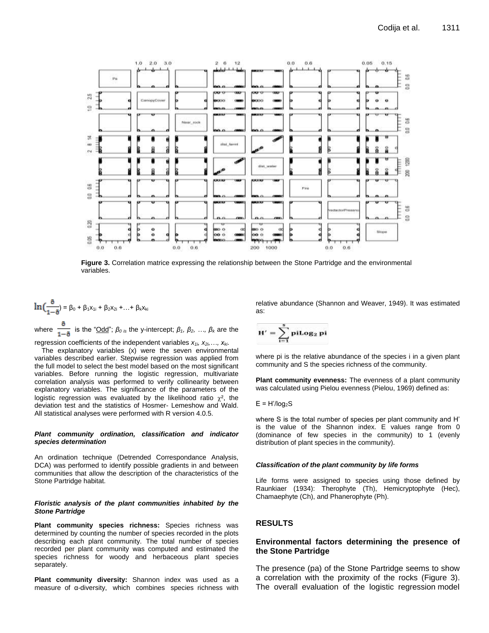

**Figure 3.** Correlation matrice expressing the relationship between the Stone Partridge and the environmental variables.

$$
\ln\left(\frac{\delta}{1-\delta}\right) = \beta_0 + \beta_1 x_{1i} + \beta_2 x_{2i} + \dots + \beta_k x_{ki}
$$

where  $\frac{1}{1-\delta}$  is the "<u>Odd</u>";  $β<sub>0 is</sub>$  the y-intercept;  $β<sub>1</sub>$ ,  $β<sub>2</sub>$ , ...,  $β<sub>k</sub>$  are the regression coefficients of the independent variables *x1i, x2i,…, xki*.

The explanatory variables (x) were the seven environmental variables described earlier. Stepwise regression was applied from the full model to select the best model based on the most significant variables. Before running the logistic regression, multivariate correlation analysis was performed to verify collinearity between explanatory variables. The significance of the parameters of the logistic regression was evaluated by the likelihood ratio  $\chi^2$ , the deviation test and the statistics of Hosmer- Lemeshow and Wald. All statistical analyses were performed with R version 4.0.5.

#### *Plant community ordination, classification and indicator species determination*

An ordination technique (Detrended Correspondance Analysis, DCA) was performed to identify possible gradients in and between communities that allow the description of the characteristics of the Stone Partridge habitat.

#### *Floristic analysis of the plant communities inhabited by the Stone Partridge*

**Plant community species richness:** Species richness was determined by counting the number of species recorded in the plots describing each plant community. The total number of species recorded per plant community was computed and estimated the species richness for woody and herbaceous plant species separately.

**Plant community diversity:** Shannon index was used as a measure of α-diversity, which combines species richness with

relative abundance (Shannon and Weaver, 1949). It was estimated as:

$$
H'=\sum_{i=1}^s p i Log_2\ pi
$$

where pi is the relative abundance of the species i in a given plant community and S the species richness of the community.

**Plant community evenness:** The evenness of a plant community was calculated using Pielou evenness (Pielou, 1969) defined as:

$$
E = H'/log_2S
$$

where S is the total number of species per plant community and H' is the value of the Shannon index. E values range from 0 (dominance of few species in the community) to 1 (evenly distribution of plant species in the community).

#### *Classification of the plant community by life forms*

Life forms were assigned to species using those defined by Raunkiaer (1934): Therophyte (Th), Hemicryptophyte (Hec), Chamaephyte (Ch), and Phanerophyte (Ph).

## **RESULTS**

#### **Environmental factors determining the presence of the Stone Partridge**

The presence (pa) of the Stone Partridge seems to show a correlation with the proximity of the rocks (Figure 3). The overall evaluation of the logistic regression model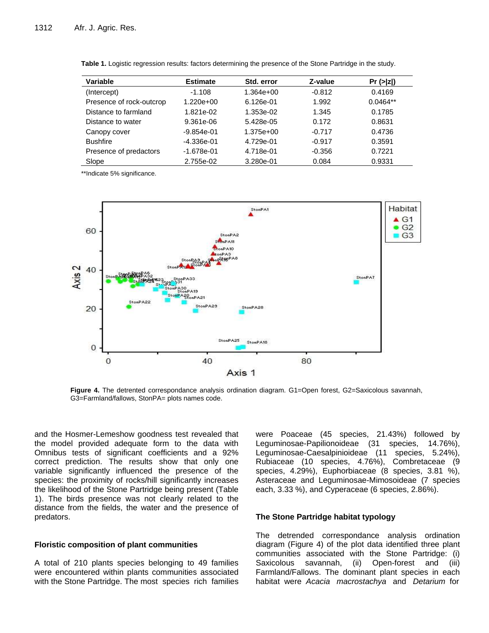| Variable                 | <b>Estimate</b> | Std. error  | Z-value  | Pr(z z )   |
|--------------------------|-----------------|-------------|----------|------------|
| (Intercept)              | $-1.108$        | $1.364e+00$ | $-0.812$ | 0.4169     |
| Presence of rock-outcrop | $1.220e+00$     | 6.126e-01   | 1.992    | $0.0464**$ |
| Distance to farmland     | 1.821e-02       | 1.353e-02   | 1.345    | 0.1785     |
| Distance to water        | 9.361e-06       | 5.428e-05   | 0.172    | 0.8631     |
| Canopy cover             | $-9.854e-01$    | 1.375e+00   | $-0.717$ | 0.4736     |
| <b>Bushfire</b>          | $-4.336e-01$    | 4.729e-01   | $-0.917$ | 0.3591     |
| Presence of predactors   | $-1.678e-01$    | 4.718e-01   | $-0.356$ | 0.7221     |
| Slope                    | 2.755e-02       | 3.280e-01   | 0.084    | 0.9331     |

| Table 1. Logistic regression results: factors determining the presence of the Stone Partridge in the study. |  |  |
|-------------------------------------------------------------------------------------------------------------|--|--|
|-------------------------------------------------------------------------------------------------------------|--|--|

\*\*Indicate 5% significance.



**Figure 4.** The detrented correspondance analysis ordination diagram. G1=Open forest, G2=Saxicolous savannah, G3=Farmland/fallows, StonPA= plots names code.

and the Hosmer-Lemeshow goodness test revealed that the model provided adequate form to the data with Omnibus tests of significant coefficients and a 92% correct prediction. The results show that only one variable significantly influenced the presence of the species: the proximity of rocks/hill significantly increases the likelihood of the Stone Partridge being present (Table 1). The birds presence was not clearly related to the distance from the fields, the water and the presence of predators.

#### **Floristic composition of plant communities**

A total of 210 plants species belonging to 49 families were encountered within plants communities associated with the Stone Partridge. The most species rich families were Poaceae (45 species, 21.43%) followed by Leguminosae-Papilionoideae (31 species, 14.76%), Leguminosae-Caesalpinioideae (11 species, 5.24%), Rubiaceae (10 species, 4.76%), Combretaceae (9 species, 4.29%), Euphorbiaceae (8 species, 3.81 %), Asteraceae and Leguminosae-Mimosoideae (7 species each, 3.33 %), and Cyperaceae (6 species, 2.86%).

#### **The Stone Partridge habitat typology**

The detrended correspondance analysis ordination diagram (Figure 4) of the plot data identified three plant communities associated with the Stone Partridge: (i) Saxicolous savannah, (ii) Open-forest and (iii) Farmland/Fallows. The dominant plant species in each habitat were *Acacia macrostachya* and *Detarium* for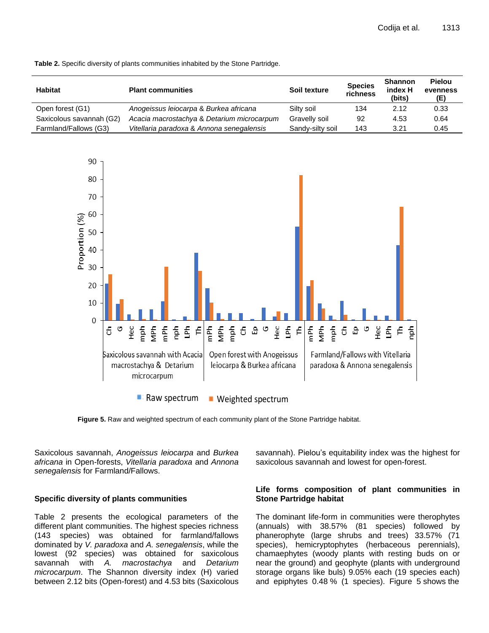

**Table 2.** Specific diversity of plants communities inhabited by the Stone Partridge.

**Figure 5.** Raw and weighted spectrum of each community plant of the Stone Partridge habitat.

Saxicolous savannah, *Anogeissus leiocarpa* and *Burkea africana* in Open-forests, *Vitellaria paradoxa* and *Annona senegalensis* for Farmland/Fallows.

## **Specific diversity of plants communities**

Table 2 presents the ecological parameters of the different plant communities. The highest species richness (143 species) was obtained for farmland/fallows dominated by *V. paradoxa* and *A. senegalensis*, while the lowest (92 species) was obtained for saxicolous savannah with *A. macrostachya* and *Detarium microcarpum*. The Shannon diversity index (H) varied between 2.12 bits (Open-forest) and 4.53 bits (Saxicolous savannah). Pielou's equitability index was the highest for saxicolous savannah and lowest for open-forest.

#### **Life forms composition of plant communities in Stone Partridge habitat**

The dominant life-form in communities were therophytes (annuals) with 38.57% (81 species) followed by phanerophyte (large shrubs and trees) 33.57% (71 species), hemicryptophytes (herbaceous perennials), chamaephytes (woody plants with resting buds on or near the ground) and geophyte (plants with underground storage organs like buls) 9.05% each (19 species each) and epiphytes 0.48 % (1 species). Figure 5 shows the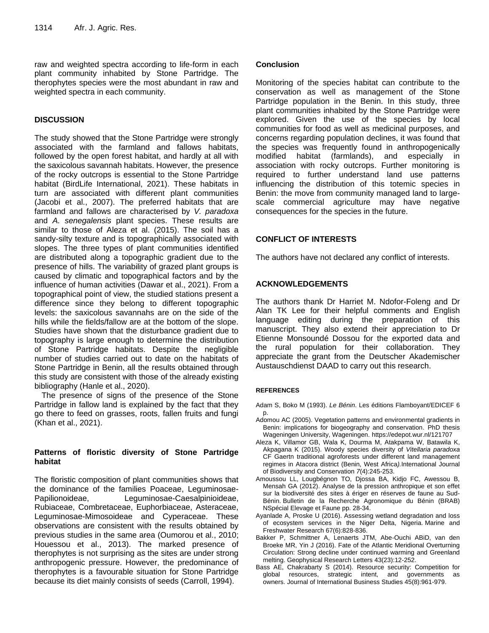raw and weighted spectra according to life-form in each plant community inhabited by Stone Partridge. The therophytes species were the most abundant in raw and weighted spectra in each community.

## **DISCUSSION**

The study showed that the Stone Partridge were strongly associated with the farmland and fallows habitats, followed by the open forest habitat, and hardly at all with the saxicolous savannah habitats. However, the presence of the rocky outcrops is essential to the Stone Partridge habitat (BirdLife International, 2021). These habitats in turn are associated with different plant communities (Jacobi et al., 2007). The preferred habitats that are farmland and fallows are characterised by *V. paradoxa*  and *A. senegalensis* plant species. These results are similar to those of Aleza et al. (2015). The soil has a sandy-silty texture and is topographically associated with slopes. The three types of plant communities identified are distributed along a topographic gradient due to the presence of hills. The variability of grazed plant groups is caused by climatic and topographical factors and by the influence of human activities (Dawar et al., 2021). From a topographical point of view, the studied stations present a difference since they belong to different topographic levels: the saxicolous savannahs are on the side of the hills while the fields/fallow are at the bottom of the slope. Studies have shown that the disturbance gradient due to topography is large enough to determine the distribution of Stone Partridge habitats. Despite the negligible number of studies carried out to date on the habitats of Stone Partridge in Benin, all the results obtained through this study are consistent with those of the already existing bibliography (Hanle et al., 2020).

The presence of signs of the presence of the Stone Partridge in fallow land is explained by the fact that they go there to feed on grasses, roots, fallen fruits and fungi (Khan et al., 2021).

## **Patterns of floristic diversity of Stone Partridge habitat**

The floristic composition of plant communities shows that the dominance of the families Poaceae, Leguminosae-Papilionoideae, Leguminosae-Caesalpinioideae, Rubiaceae, Combretaceae, Euphorbiaceae, Asteraceae, Leguminosae-Mimosoideae and Cyperaceae. These observations are consistent with the results obtained by previous studies in the same area (Oumorou et al., 2010; Houessou et al., 2013). The marked presence of therophytes is not surprising as the sites are under strong anthropogenic pressure. However, the predominance of therophytes is a favourable situation for Stone Partridge because its diet mainly consists of seeds (Carroll, 1994).

## **Conclusion**

Monitoring of the species habitat can contribute to the conservation as well as management of the Stone Partridge population in the Benin. In this study, three plant communities inhabited by the Stone Partridge were explored. Given the use of the species by local communities for food as well as medicinal purposes, and concerns regarding population declines, it was found that the species was frequently found in anthropogenically modified habitat (farmlands), and especially in association with rocky outcrops. Further monitoring is required to further understand land use patterns influencing the distribution of this totemic species in Benin: the move from community managed land to largescale commercial agriculture may have negative consequences for the species in the future.

## **CONFLICT OF INTERESTS**

The authors have not declared any conflict of interests.

## **ACKNOWLEDGEMENTS**

The authors thank Dr Harriet M. Ndofor-Foleng and Dr Alan TK Lee for their helpful comments and English language editing during the preparation of this manuscript. They also extend their appreciation to Dr Etienne Monsoundé Dossou for the exported data and the rural population for their collaboration. They appreciate the grant from the Deutscher Akademischer Austauschdienst DAAD to carry out this research.

## **REFERENCES**

Adam S, Boko M (1993). *Le Bénin*. Les éditions Flamboyant/EDICEF 6 p.

- Adomou AC (2005). Vegetation patterns and environmental gradients in Benin: implications for biogeography and conservation. PhD thesis Wageningen University, Wageningen. https://edepot.wur.nl/121707
- Aleza K, Villamor GB, Wala K, Dourma M, Atakpama W, Batawila K, Akpagana K (2015). Woody species diversity of *Vitellaria paradoxa* CF Gaertn traditional agroforests under different land management regimes in Atacora district (Benin, West Africa*).*International Journal of Biodiversity and Conservation *7*(4):245-253.
- Amoussou LL, Lougbégnon TO, Djossa BA, Kidjo FC, Awessou B, Mensah GA (2012). Analyse de la pression anthropique et son effet sur la biodiversité des sites à ériger en réserves de faune au Sud-Bénin. Bulletin de la Recherche Agronomique du Bénin (BRAB) NSpécial Elevage et Faune pp. 28-34.
- Ayanlade A, Proske U (2016). Assessing wetland degradation and loss of ecosystem services in the Niger Delta, Nigeria. Marine and Freshwater Research 67(6):828-836.
- Bakker P, Schmittner A, Lenaerts JTM, Abe‐Ouchi ABiD, van den Broeke MR, Yin J (2016). Fate of the Atlantic Meridional Overturning Circulation: Strong decline under continued warming and Greenland melting. Geophysical Research Letters 43(23):12-252.
- Bass AE, Chakrabarty S (2014). Resource security: Competition for global resources, strategic intent, and governments as owners. Journal of International Business Studies 45(8):961-979.